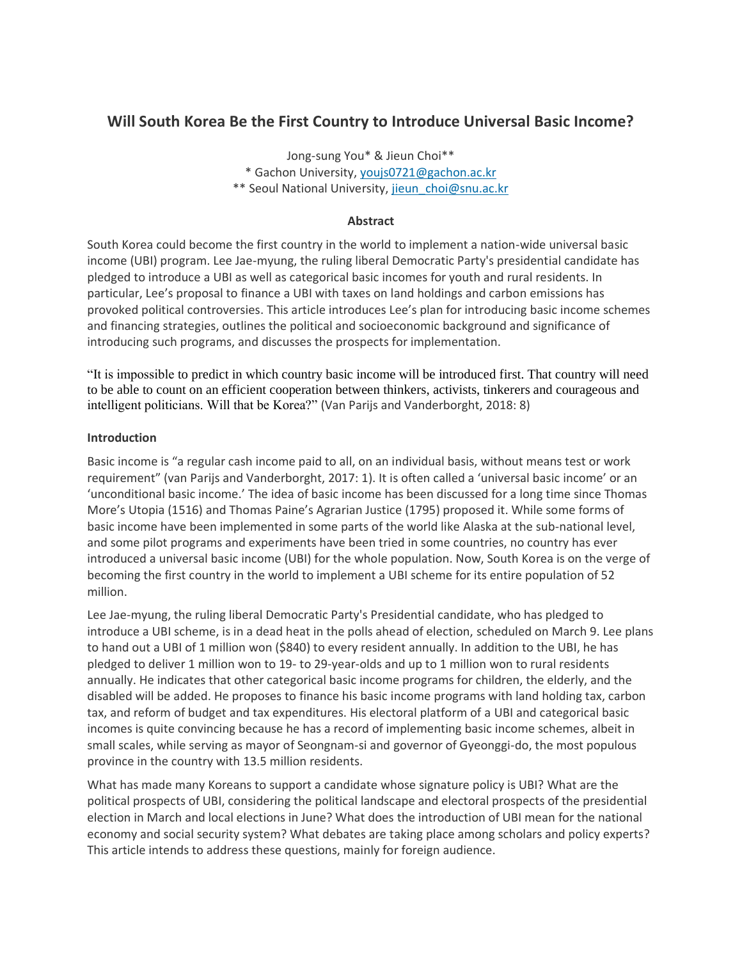# **Will South Korea Be the First Country to Introduce Universal Basic Income?**

Jong-sung You\* & Jieun Choi\*\* \* Gachon University, [youjs0721@gachon.ac.kr](mailto:youjs0721@gachon.ac.kr) \*\* Seoul National University, [jieun\\_choi@snu.ac.kr](mailto:jieun_choi@snu.ac.kr)

## **Abstract**

South Korea could become the first country in the world to implement a nation-wide universal basic income (UBI) program. Lee Jae-myung, the ruling liberal Democratic Party's presidential candidate has pledged to introduce a UBI as well as categorical basic incomes for youth and rural residents. In particular, Lee's proposal to finance a UBI with taxes on land holdings and carbon emissions has provoked political controversies. This article introduces Lee's plan for introducing basic income schemes and financing strategies, outlines the political and socioeconomic background and significance of introducing such programs, and discusses the prospects for implementation.

"It is impossible to predict in which country basic income will be introduced first. That country will need to be able to count on an efficient cooperation between thinkers, activists, tinkerers and courageous and intelligent politicians. Will that be Korea?" (Van Parijs and Vanderborght, 2018: 8)

## **Introduction**

Basic income is "a regular cash income paid to all, on an individual basis, without means test or work requirement" (van Parijs and Vanderborght, 2017: 1). It is often called a 'universal basic income' or an 'unconditional basic income.' The idea of basic income has been discussed for a long time since Thomas More's Utopia (1516) and Thomas Paine's Agrarian Justice (1795) proposed it. While some forms of basic income have been implemented in some parts of the world like Alaska at the sub-national level, and some pilot programs and experiments have been tried in some countries, no country has ever introduced a universal basic income (UBI) for the whole population. Now, South Korea is on the verge of becoming the first country in the world to implement a UBI scheme for its entire population of 52 million.

Lee Jae-myung, the ruling liberal Democratic Party's Presidential candidate, who has pledged to introduce a UBI scheme, is in a dead heat in the polls ahead of election, scheduled on March 9. Lee plans to hand out a UBI of 1 million won (\$840) to every resident annually. In addition to the UBI, he has pledged to deliver 1 million won to 19- to 29-year-olds and up to 1 million won to rural residents annually. He indicates that other categorical basic income programs for children, the elderly, and the disabled will be added. He proposes to finance his basic income programs with land holding tax, carbon tax, and reform of budget and tax expenditures. His electoral platform of a UBI and categorical basic incomes is quite convincing because he has a record of implementing basic income schemes, albeit in small scales, while serving as mayor of Seongnam-si and governor of Gyeonggi-do, the most populous province in the country with 13.5 million residents.

What has made many Koreans to support a candidate whose signature policy is UBI? What are the political prospects of UBI, considering the political landscape and electoral prospects of the presidential election in March and local elections in June? What does the introduction of UBI mean for the national economy and social security system? What debates are taking place among scholars and policy experts? This article intends to address these questions, mainly for foreign audience.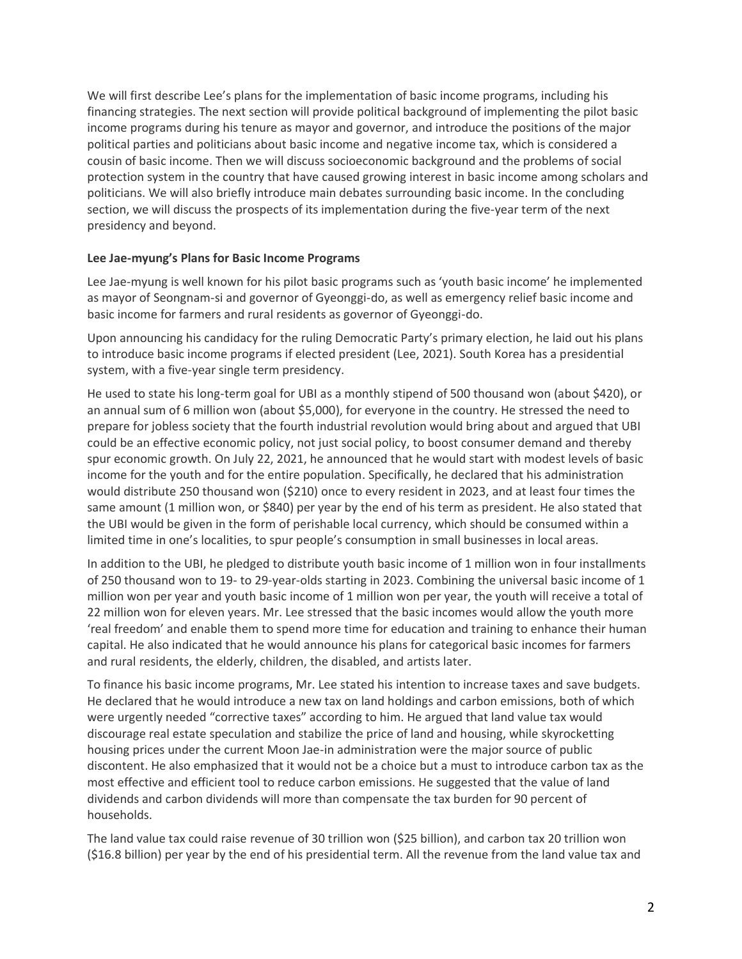We will first describe Lee's plans for the implementation of basic income programs, including his financing strategies. The next section will provide political background of implementing the pilot basic income programs during his tenure as mayor and governor, and introduce the positions of the major political parties and politicians about basic income and negative income tax, which is considered a cousin of basic income. Then we will discuss socioeconomic background and the problems of social protection system in the country that have caused growing interest in basic income among scholars and politicians. We will also briefly introduce main debates surrounding basic income. In the concluding section, we will discuss the prospects of its implementation during the five-year term of the next presidency and beyond.

#### **Lee Jae-myung's Plans for Basic Income Programs**

Lee Jae-myung is well known for his pilot basic programs such as 'youth basic income' he implemented as mayor of Seongnam-si and governor of Gyeonggi-do, as well as emergency relief basic income and basic income for farmers and rural residents as governor of Gyeonggi-do.

Upon announcing his candidacy for the ruling Democratic Party's primary election, he laid out his plans to introduce basic income programs if elected president (Lee, 2021). South Korea has a presidential system, with a five-year single term presidency.

He used to state his long-term goal for UBI as a monthly stipend of 500 thousand won (about \$420), or an annual sum of 6 million won (about \$5,000), for everyone in the country. He stressed the need to prepare for jobless society that the fourth industrial revolution would bring about and argued that UBI could be an effective economic policy, not just social policy, to boost consumer demand and thereby spur economic growth. On July 22, 2021, he announced that he would start with modest levels of basic income for the youth and for the entire population. Specifically, he declared that his administration would distribute 250 thousand won (\$210) once to every resident in 2023, and at least four times the same amount (1 million won, or \$840) per year by the end of his term as president. He also stated that the UBI would be given in the form of perishable local currency, which should be consumed within a limited time in one's localities, to spur people's consumption in small businesses in local areas.

In addition to the UBI, he pledged to distribute youth basic income of 1 million won in four installments of 250 thousand won to 19- to 29-year-olds starting in 2023. Combining the universal basic income of 1 million won per year and youth basic income of 1 million won per year, the youth will receive a total of 22 million won for eleven years. Mr. Lee stressed that the basic incomes would allow the youth more 'real freedom' and enable them to spend more time for education and training to enhance their human capital. He also indicated that he would announce his plans for categorical basic incomes for farmers and rural residents, the elderly, children, the disabled, and artists later.

To finance his basic income programs, Mr. Lee stated his intention to increase taxes and save budgets. He declared that he would introduce a new tax on land holdings and carbon emissions, both of which were urgently needed "corrective taxes" according to him. He argued that land value tax would discourage real estate speculation and stabilize the price of land and housing, while skyrocketting housing prices under the current Moon Jae-in administration were the major source of public discontent. He also emphasized that it would not be a choice but a must to introduce carbon tax as the most effective and efficient tool to reduce carbon emissions. He suggested that the value of land dividends and carbon dividends will more than compensate the tax burden for 90 percent of households.

The land value tax could raise revenue of 30 trillion won (\$25 billion), and carbon tax 20 trillion won (\$16.8 billion) per year by the end of his presidential term. All the revenue from the land value tax and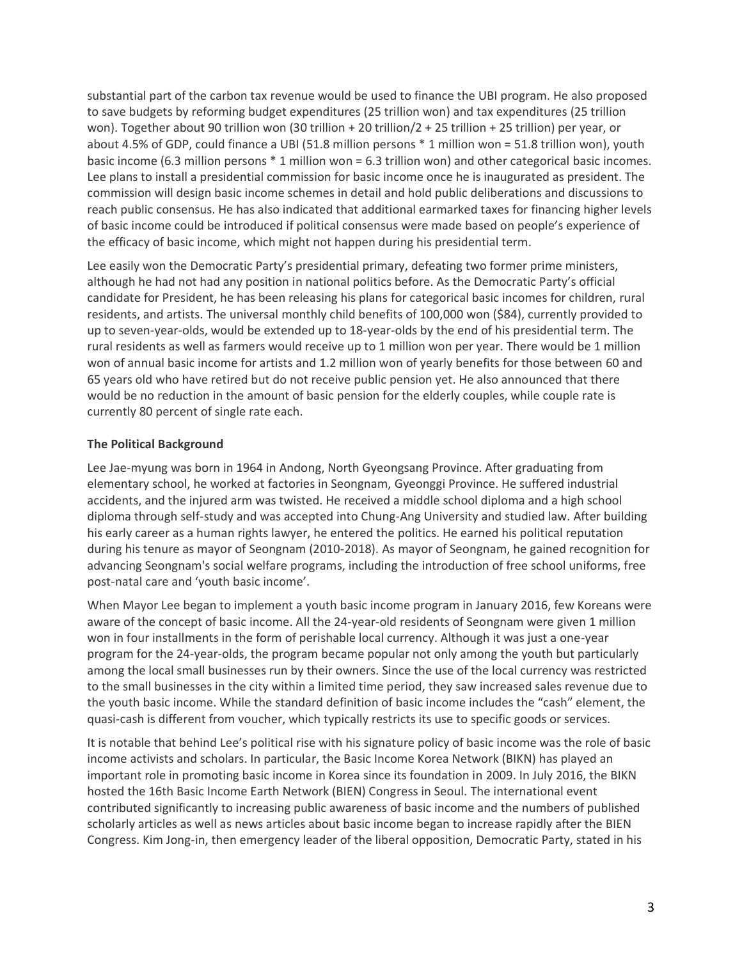substantial part of the carbon tax revenue would be used to finance the UBI program. He also proposed to save budgets by reforming budget expenditures (25 trillion won) and tax expenditures (25 trillion won). Together about 90 trillion won (30 trillion + 20 trillion/2 + 25 trillion + 25 trillion) per year, or about 4.5% of GDP, could finance a UBI (51.8 million persons \* 1 million won = 51.8 trillion won), youth basic income (6.3 million persons \* 1 million won = 6.3 trillion won) and other categorical basic incomes. Lee plans to install a presidential commission for basic income once he is inaugurated as president. The commission will design basic income schemes in detail and hold public deliberations and discussions to reach public consensus. He has also indicated that additional earmarked taxes for financing higher levels of basic income could be introduced if political consensus were made based on people's experience of the efficacy of basic income, which might not happen during his presidential term.

Lee easily won the Democratic Party's presidential primary, defeating two former prime ministers, although he had not had any position in national politics before. As the Democratic Party's official candidate for President, he has been releasing his plans for categorical basic incomes for children, rural residents, and artists. The universal monthly child benefits of 100,000 won (\$84), currently provided to up to seven-year-olds, would be extended up to 18-year-olds by the end of his presidential term. The rural residents as well as farmers would receive up to 1 million won per year. There would be 1 million won of annual basic income for artists and 1.2 million won of yearly benefits for those between 60 and 65 years old who have retired but do not receive public pension yet. He also announced that there would be no reduction in the amount of basic pension for the elderly couples, while couple rate is currently 80 percent of single rate each.

# **The Political Background**

Lee Jae-myung was born in 1964 in Andong, North Gyeongsang Province. After graduating from elementary school, he worked at factories in Seongnam, Gyeonggi Province. He suffered industrial accidents, and the injured arm was twisted. He received a middle school diploma and a high school diploma through self-study and was accepted into Chung-Ang University and studied law. After building his early career as a human rights lawyer, he entered the politics. He earned his political reputation during his tenure as mayor of Seongnam (2010-2018). As mayor of Seongnam, he gained recognition for advancing Seongnam's social welfare programs, including the introduction of free school uniforms, free post-natal care and 'youth basic income'.

When Mayor Lee began to implement a youth basic income program in January 2016, few Koreans were aware of the concept of basic income. All the 24-year-old residents of Seongnam were given 1 million won in four installments in the form of perishable local currency. Although it was just a one-year program for the 24-year-olds, the program became popular not only among the youth but particularly among the local small businesses run by their owners. Since the use of the local currency was restricted to the small businesses in the city within a limited time period, they saw increased sales revenue due to the youth basic income. While the standard definition of basic income includes the "cash" element, the quasi-cash is different from voucher, which typically restricts its use to specific goods or services.

It is notable that behind Lee's political rise with his signature policy of basic income was the role of basic income activists and scholars. In particular, the Basic Income Korea Network (BIKN) has played an important role in promoting basic income in Korea since its foundation in 2009. In July 2016, the BIKN hosted the 16th Basic Income Earth Network (BIEN) Congress in Seoul. The international event contributed significantly to increasing public awareness of basic income and the numbers of published scholarly articles as well as news articles about basic income began to increase rapidly after the BIEN Congress. Kim Jong-in, then emergency leader of the liberal opposition, Democratic Party, stated in his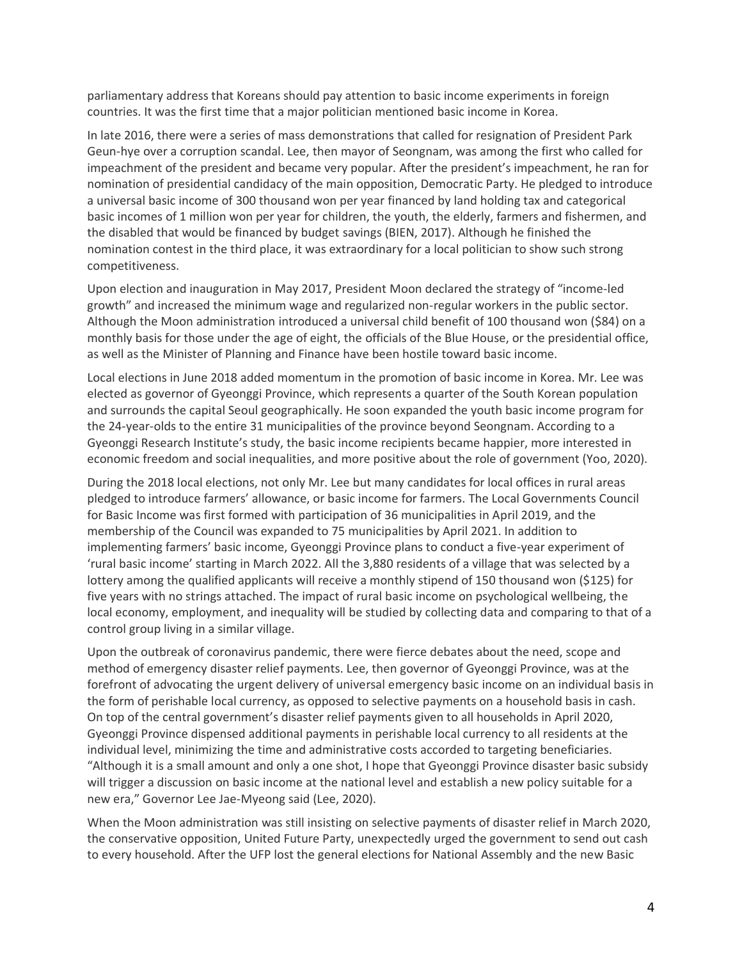parliamentary address that Koreans should pay attention to basic income experiments in foreign countries. It was the first time that a major politician mentioned basic income in Korea.

In late 2016, there were a series of mass demonstrations that called for resignation of President Park Geun-hye over a corruption scandal. Lee, then mayor of Seongnam, was among the first who called for impeachment of the president and became very popular. After the president's impeachment, he ran for nomination of presidential candidacy of the main opposition, Democratic Party. He pledged to introduce a universal basic income of 300 thousand won per year financed by land holding tax and categorical basic incomes of 1 million won per year for children, the youth, the elderly, farmers and fishermen, and the disabled that would be financed by budget savings (BIEN, 2017). Although he finished the nomination contest in the third place, it was extraordinary for a local politician to show such strong competitiveness.

Upon election and inauguration in May 2017, President Moon declared the strategy of "income-led growth" and increased the minimum wage and regularized non-regular workers in the public sector. Although the Moon administration introduced a universal child benefit of 100 thousand won (\$84) on a monthly basis for those under the age of eight, the officials of the Blue House, or the presidential office, as well as the Minister of Planning and Finance have been hostile toward basic income.

Local elections in June 2018 added momentum in the promotion of basic income in Korea. Mr. Lee was elected as governor of Gyeonggi Province, which represents a quarter of the South Korean population and surrounds the capital Seoul geographically. He soon expanded the youth basic income program for the 24-year-olds to the entire 31 municipalities of the province beyond Seongnam. According to a Gyeonggi Research Institute's study, the basic income recipients became happier, more interested in economic freedom and social inequalities, and more positive about the role of government (Yoo, 2020).

During the 2018 local elections, not only Mr. Lee but many candidates for local offices in rural areas pledged to introduce farmers' allowance, or basic income for farmers. The Local Governments Council for Basic Income was first formed with participation of 36 municipalities in April 2019, and the membership of the Council was expanded to 75 municipalities by April 2021. In addition to implementing farmers' basic income, Gyeonggi Province plans to conduct a five-year experiment of 'rural basic income' starting in March 2022. All the 3,880 residents of a village that was selected by a lottery among the qualified applicants will receive a monthly stipend of 150 thousand won (\$125) for five years with no strings attached. The impact of rural basic income on psychological wellbeing, the local economy, employment, and inequality will be studied by collecting data and comparing to that of a control group living in a similar village.

Upon the outbreak of coronavirus pandemic, there were fierce debates about the need, scope and method of emergency disaster relief payments. Lee, then governor of Gyeonggi Province, was at the forefront of advocating the urgent delivery of universal emergency basic income on an individual basis in the form of perishable local currency, as opposed to selective payments on a household basis in cash. On top of the central government's disaster relief payments given to all households in April 2020, Gyeonggi Province dispensed additional payments in perishable local currency to all residents at the individual level, minimizing the time and administrative costs accorded to targeting beneficiaries. "Although it is a small amount and only a one shot, I hope that Gyeonggi Province disaster basic subsidy will trigger a discussion on basic income at the national level and establish a new policy suitable for a new era," Governor Lee Jae-Myeong said (Lee, 2020).

When the Moon administration was still insisting on selective payments of disaster relief in March 2020, the conservative opposition, United Future Party, unexpectedly urged the government to send out cash to every household. After the UFP lost the general elections for National Assembly and the new Basic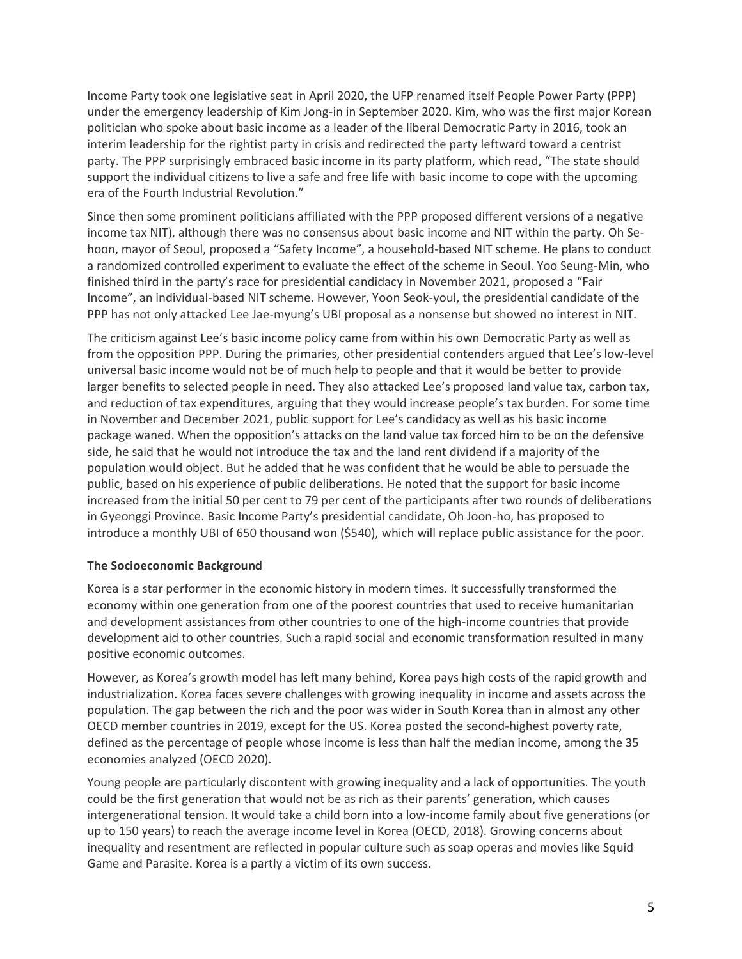Income Party took one legislative seat in April 2020, the UFP renamed itself People Power Party (PPP) under the emergency leadership of Kim Jong-in in September 2020. Kim, who was the first major Korean politician who spoke about basic income as a leader of the liberal Democratic Party in 2016, took an interim leadership for the rightist party in crisis and redirected the party leftward toward a centrist party. The PPP surprisingly embraced basic income in its party platform, which read, "The state should support the individual citizens to live a safe and free life with basic income to cope with the upcoming era of the Fourth Industrial Revolution."

Since then some prominent politicians affiliated with the PPP proposed different versions of a negative income tax NIT), although there was no consensus about basic income and NIT within the party. Oh Sehoon, mayor of Seoul, proposed a "Safety Income", a household-based NIT scheme. He plans to conduct a randomized controlled experiment to evaluate the effect of the scheme in Seoul. Yoo Seung-Min, who finished third in the party's race for presidential candidacy in November 2021, proposed a "Fair Income", an individual-based NIT scheme. However, Yoon Seok-youl, the presidential candidate of the PPP has not only attacked Lee Jae-myung's UBI proposal as a nonsense but showed no interest in NIT.

The criticism against Lee's basic income policy came from within his own Democratic Party as well as from the opposition PPP. During the primaries, other presidential contenders argued that Lee's low-level universal basic income would not be of much help to people and that it would be better to provide larger benefits to selected people in need. They also attacked Lee's proposed land value tax, carbon tax, and reduction of tax expenditures, arguing that they would increase people's tax burden. For some time in November and December 2021, public support for Lee's candidacy as well as his basic income package waned. When the opposition's attacks on the land value tax forced him to be on the defensive side, he said that he would not introduce the tax and the land rent dividend if a majority of the population would object. But he added that he was confident that he would be able to persuade the public, based on his experience of public deliberations. He noted that the support for basic income increased from the initial 50 per cent to 79 per cent of the participants after two rounds of deliberations in Gyeonggi Province. Basic Income Party's presidential candidate, Oh Joon-ho, has proposed to introduce a monthly UBI of 650 thousand won (\$540), which will replace public assistance for the poor.

## **The Socioeconomic Background**

Korea is a star performer in the economic history in modern times. It successfully transformed the economy within one generation from one of the poorest countries that used to receive humanitarian and development assistances from other countries to one of the high-income countries that provide development aid to other countries. Such a rapid social and economic transformation resulted in many positive economic outcomes.

However, as Korea's growth model has left many behind, Korea pays high costs of the rapid growth and industrialization. Korea faces severe challenges with growing inequality in income and assets across the population. The gap between the rich and the poor was wider in South Korea than in almost any other OECD member countries in 2019, except for the US. Korea posted the second-highest poverty rate, defined as the percentage of people whose income is less than half the median income, among the 35 economies analyzed (OECD 2020).

Young people are particularly discontent with growing inequality and a lack of opportunities. The youth could be the first generation that would not be as rich as their parents' generation, which causes intergenerational tension. It would take a child born into a low-income family about five generations (or up to 150 years) to reach the average income level in Korea (OECD, 2018). Growing concerns about inequality and resentment are reflected in popular culture such as soap operas and movies like Squid Game and Parasite. Korea is a partly a victim of its own success.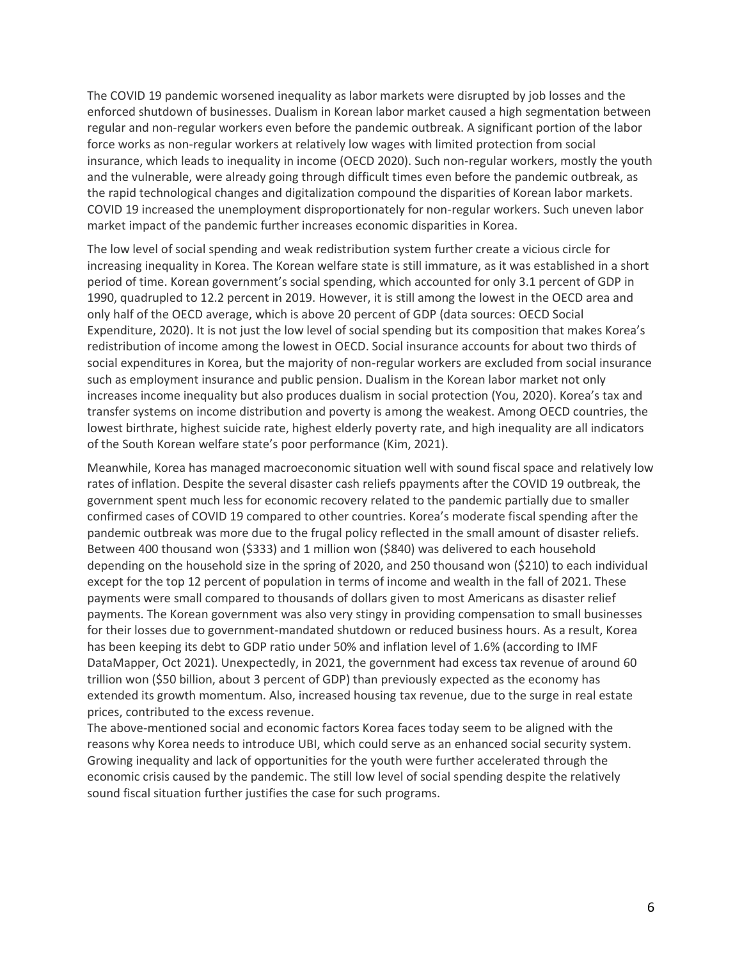The COVID 19 pandemic worsened inequality as labor markets were disrupted by job losses and the enforced shutdown of businesses. Dualism in Korean labor market caused a high segmentation between regular and non-regular workers even before the pandemic outbreak. A significant portion of the labor force works as non-regular workers at relatively low wages with limited protection from social insurance, which leads to inequality in income (OECD 2020). Such non-regular workers, mostly the youth and the vulnerable, were already going through difficult times even before the pandemic outbreak, as the rapid technological changes and digitalization compound the disparities of Korean labor markets. COVID 19 increased the unemployment disproportionately for non-regular workers. Such uneven labor market impact of the pandemic further increases economic disparities in Korea.

The low level of social spending and weak redistribution system further create a vicious circle for increasing inequality in Korea. The Korean welfare state is still immature, as it was established in a short period of time. Korean government's social spending, which accounted for only 3.1 percent of GDP in 1990, quadrupled to 12.2 percent in 2019. However, it is still among the lowest in the OECD area and only half of the OECD average, which is above 20 percent of GDP (data sources: OECD Social Expenditure, 2020). It is not just the low level of social spending but its composition that makes Korea's redistribution of income among the lowest in OECD. Social insurance accounts for about two thirds of social expenditures in Korea, but the majority of non-regular workers are excluded from social insurance such as employment insurance and public pension. Dualism in the Korean labor market not only increases income inequality but also produces dualism in social protection (You, 2020). Korea's tax and transfer systems on income distribution and poverty is among the weakest. Among OECD countries, the lowest birthrate, highest suicide rate, highest elderly poverty rate, and high inequality are all indicators of the South Korean welfare state's poor performance (Kim, 2021).

Meanwhile, Korea has managed macroeconomic situation well with sound fiscal space and relatively low rates of inflation. Despite the several disaster cash reliefs ppayments after the COVID 19 outbreak, the government spent much less for economic recovery related to the pandemic partially due to smaller confirmed cases of COVID 19 compared to other countries. Korea's moderate fiscal spending after the pandemic outbreak was more due to the frugal policy reflected in the small amount of disaster reliefs. Between 400 thousand won (\$333) and 1 million won (\$840) was delivered to each household depending on the household size in the spring of 2020, and 250 thousand won (\$210) to each individual except for the top 12 percent of population in terms of income and wealth in the fall of 2021. These payments were small compared to thousands of dollars given to most Americans as disaster relief payments. The Korean government was also very stingy in providing compensation to small businesses for their losses due to government-mandated shutdown or reduced business hours. As a result, Korea has been keeping its debt to GDP ratio under 50% and inflation level of 1.6% (according to IMF DataMapper, Oct 2021). Unexpectedly, in 2021, the government had excess tax revenue of around 60 trillion won (\$50 billion, about 3 percent of GDP) than previously expected as the economy has extended its growth momentum. Also, increased housing tax revenue, due to the surge in real estate prices, contributed to the excess revenue.

The above-mentioned social and economic factors Korea faces today seem to be aligned with the reasons why Korea needs to introduce UBI, which could serve as an enhanced social security system. Growing inequality and lack of opportunities for the youth were further accelerated through the economic crisis caused by the pandemic. The still low level of social spending despite the relatively sound fiscal situation further justifies the case for such programs.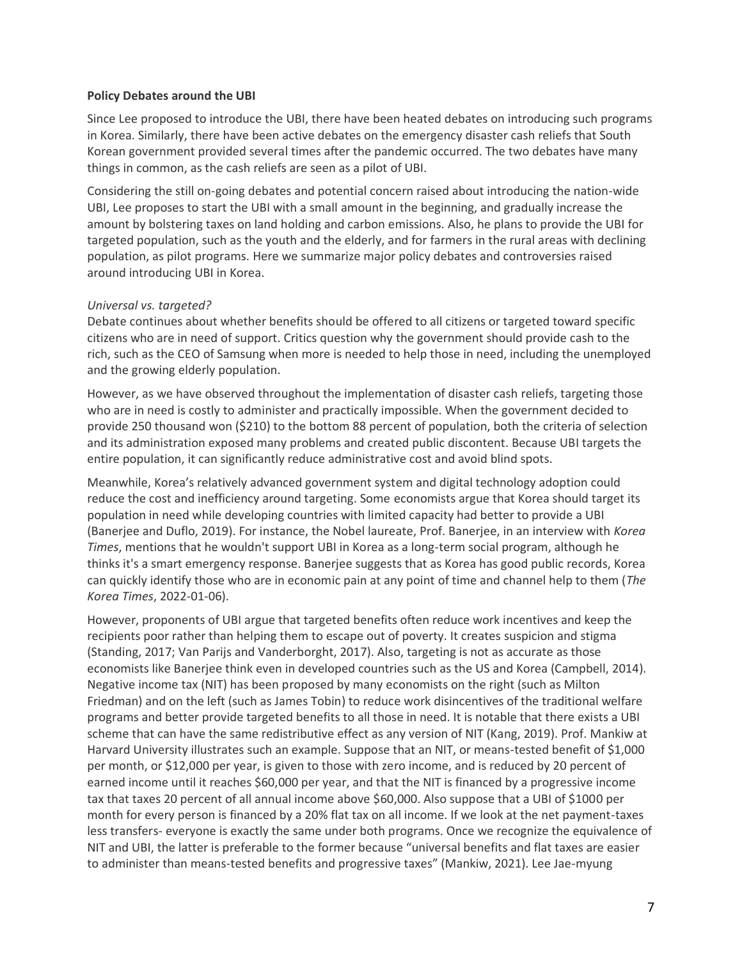#### **Policy Debates around the UBI**

Since Lee proposed to introduce the UBI, there have been heated debates on introducing such programs in Korea. Similarly, there have been active debates on the emergency disaster cash reliefs that South Korean government provided several times after the pandemic occurred. The two debates have many things in common, as the cash reliefs are seen as a pilot of UBI.

Considering the still on-going debates and potential concern raised about introducing the nation-wide UBI, Lee proposes to start the UBI with a small amount in the beginning, and gradually increase the amount by bolstering taxes on land holding and carbon emissions. Also, he plans to provide the UBI for targeted population, such as the youth and the elderly, and for farmers in the rural areas with declining population, as pilot programs. Here we summarize major policy debates and controversies raised around introducing UBI in Korea.

## *Universal vs. targeted?*

Debate continues about whether benefits should be offered to all citizens or targeted toward specific citizens who are in need of support. Critics question why the government should provide cash to the rich, such as the CEO of Samsung when more is needed to help those in need, including the unemployed and the growing elderly population.

However, as we have observed throughout the implementation of disaster cash reliefs, targeting those who are in need is costly to administer and practically impossible. When the government decided to provide 250 thousand won (\$210) to the bottom 88 percent of population, both the criteria of selection and its administration exposed many problems and created public discontent. Because UBI targets the entire population, it can significantly reduce administrative cost and avoid blind spots.

Meanwhile, Korea's relatively advanced government system and digital technology adoption could reduce the cost and inefficiency around targeting. Some economists argue that Korea should target its population in need while developing countries with limited capacity had better to provide a UBI (Banerjee and Duflo, 2019). For instance, the Nobel laureate, Prof. Banerjee, in an interview with *Korea Times*, mentions that he wouldn't support UBI in Korea as a long-term social program, although he thinks it's a smart emergency response. Banerjee suggests that as Korea has good public records, Korea can quickly identify those who are in economic pain at any point of time and channel help to them (*The Korea Times*, 2022-01-06).

However, proponents of UBI argue that targeted benefits often reduce work incentives and keep the recipients poor rather than helping them to escape out of poverty. It creates suspicion and stigma (Standing, 2017; Van Parijs and Vanderborght, 2017). Also, targeting is not as accurate as those economists like Banerjee think even in developed countries such as the US and Korea (Campbell, 2014). Negative income tax (NIT) has been proposed by many economists on the right (such as Milton Friedman) and on the left (such as James Tobin) to reduce work disincentives of the traditional welfare programs and better provide targeted benefits to all those in need. It is notable that there exists a UBI scheme that can have the same redistributive effect as any version of NIT (Kang, 2019). Prof. Mankiw at Harvard University illustrates such an example. Suppose that an NIT, or means-tested benefit of \$1,000 per month, or \$12,000 per year, is given to those with zero income, and is reduced by 20 percent of earned income until it reaches \$60,000 per year, and that the NIT is financed by a progressive income tax that taxes 20 percent of all annual income above \$60,000. Also suppose that a UBI of \$1000 per month for every person is financed by a 20% flat tax on all income. If we look at the net payment-taxes less transfers- everyone is exactly the same under both programs. Once we recognize the equivalence of NIT and UBI, the latter is preferable to the former because "universal benefits and flat taxes are easier to administer than means-tested benefits and progressive taxes" (Mankiw, 2021). Lee Jae-myung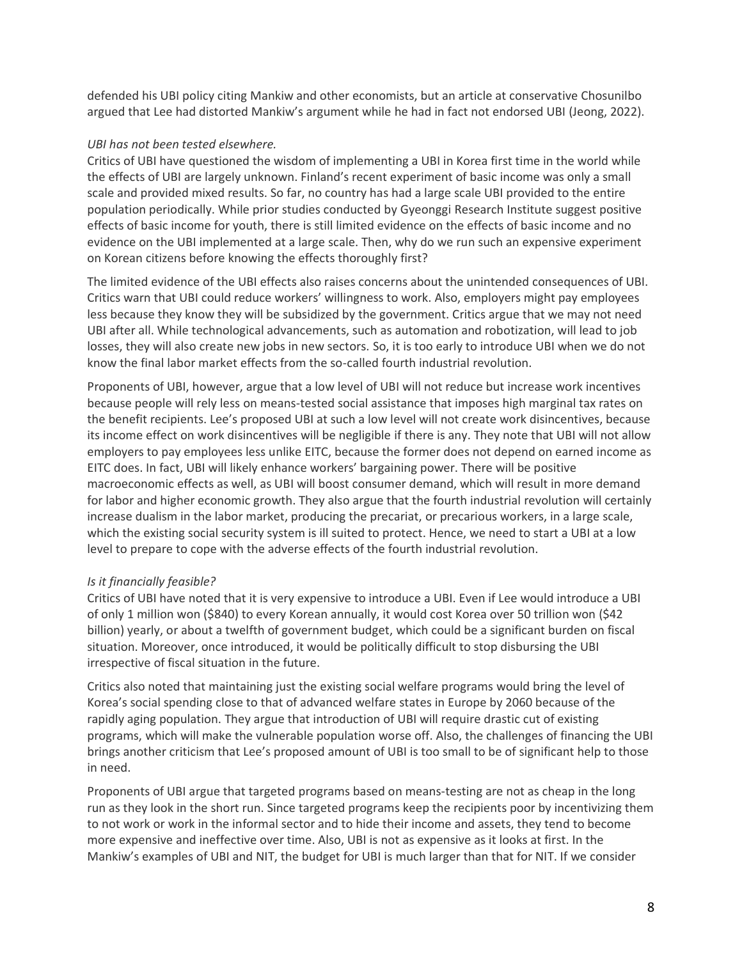defended his UBI policy citing Mankiw and other economists, but an article at conservative Chosunilbo argued that Lee had distorted Mankiw's argument while he had in fact not endorsed UBI (Jeong, 2022).

## *UBI has not been tested elsewhere.*

Critics of UBI have questioned the wisdom of implementing a UBI in Korea first time in the world while the effects of UBI are largely unknown. Finland's recent experiment of basic income was only a small scale and provided mixed results. So far, no country has had a large scale UBI provided to the entire population periodically. While prior studies conducted by Gyeonggi Research Institute suggest positive effects of basic income for youth, there is still limited evidence on the effects of basic income and no evidence on the UBI implemented at a large scale. Then, why do we run such an expensive experiment on Korean citizens before knowing the effects thoroughly first?

The limited evidence of the UBI effects also raises concerns about the unintended consequences of UBI. Critics warn that UBI could reduce workers' willingness to work. Also, employers might pay employees less because they know they will be subsidized by the government. Critics argue that we may not need UBI after all. While technological advancements, such as automation and robotization, will lead to job losses, they will also create new jobs in new sectors. So, it is too early to introduce UBI when we do not know the final labor market effects from the so-called fourth industrial revolution.

Proponents of UBI, however, argue that a low level of UBI will not reduce but increase work incentives because people will rely less on means-tested social assistance that imposes high marginal tax rates on the benefit recipients. Lee's proposed UBI at such a low level will not create work disincentives, because its income effect on work disincentives will be negligible if there is any. They note that UBI will not allow employers to pay employees less unlike EITC, because the former does not depend on earned income as EITC does. In fact, UBI will likely enhance workers' bargaining power. There will be positive macroeconomic effects as well, as UBI will boost consumer demand, which will result in more demand for labor and higher economic growth. They also argue that the fourth industrial revolution will certainly increase dualism in the labor market, producing the precariat, or precarious workers, in a large scale, which the existing social security system is ill suited to protect. Hence, we need to start a UBI at a low level to prepare to cope with the adverse effects of the fourth industrial revolution.

# *Is it financially feasible?*

Critics of UBI have noted that it is very expensive to introduce a UBI. Even if Lee would introduce a UBI of only 1 million won (\$840) to every Korean annually, it would cost Korea over 50 trillion won (\$42 billion) yearly, or about a twelfth of government budget, which could be a significant burden on fiscal situation. Moreover, once introduced, it would be politically difficult to stop disbursing the UBI irrespective of fiscal situation in the future.

Critics also noted that maintaining just the existing social welfare programs would bring the level of Korea's social spending close to that of advanced welfare states in Europe by 2060 because of the rapidly aging population. They argue that introduction of UBI will require drastic cut of existing programs, which will make the vulnerable population worse off. Also, the challenges of financing the UBI brings another criticism that Lee's proposed amount of UBI is too small to be of significant help to those in need.

Proponents of UBI argue that targeted programs based on means-testing are not as cheap in the long run as they look in the short run. Since targeted programs keep the recipients poor by incentivizing them to not work or work in the informal sector and to hide their income and assets, they tend to become more expensive and ineffective over time. Also, UBI is not as expensive as it looks at first. In the Mankiw's examples of UBI and NIT, the budget for UBI is much larger than that for NIT. If we consider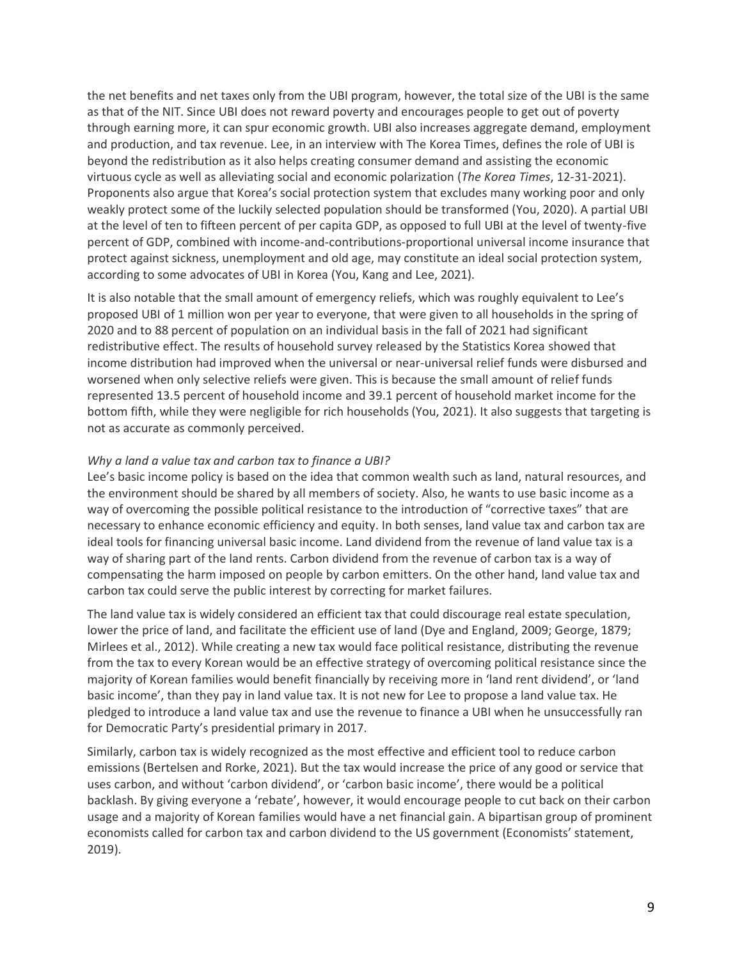the net benefits and net taxes only from the UBI program, however, the total size of the UBI is the same as that of the NIT. Since UBI does not reward poverty and encourages people to get out of poverty through earning more, it can spur economic growth. UBI also increases aggregate demand, employment and production, and tax revenue. Lee, in an interview with The Korea Times, defines the role of UBI is beyond the redistribution as it also helps creating consumer demand and assisting the economic virtuous cycle as well as alleviating social and economic polarization (*The Korea Times*, 12-31-2021). Proponents also argue that Korea's social protection system that excludes many working poor and only weakly protect some of the luckily selected population should be transformed (You, 2020). A partial UBI at the level of ten to fifteen percent of per capita GDP, as opposed to full UBI at the level of twenty-five percent of GDP, combined with income-and-contributions-proportional universal income insurance that protect against sickness, unemployment and old age, may constitute an ideal social protection system, according to some advocates of UBI in Korea (You, Kang and Lee, 2021).

It is also notable that the small amount of emergency reliefs, which was roughly equivalent to Lee's proposed UBI of 1 million won per year to everyone, that were given to all households in the spring of 2020 and to 88 percent of population on an individual basis in the fall of 2021 had significant redistributive effect. The results of household survey released by the Statistics Korea showed that income distribution had improved when the universal or near-universal relief funds were disbursed and worsened when only selective reliefs were given. This is because the small amount of relief funds represented 13.5 percent of household income and 39.1 percent of household market income for the bottom fifth, while they were negligible for rich households (You, 2021). It also suggests that targeting is not as accurate as commonly perceived.

## *Why a land a value tax and carbon tax to finance a UBI?*

Lee's basic income policy is based on the idea that common wealth such as land, natural resources, and the environment should be shared by all members of society. Also, he wants to use basic income as a way of overcoming the possible political resistance to the introduction of "corrective taxes" that are necessary to enhance economic efficiency and equity. In both senses, land value tax and carbon tax are ideal tools for financing universal basic income. Land dividend from the revenue of land value tax is a way of sharing part of the land rents. Carbon dividend from the revenue of carbon tax is a way of compensating the harm imposed on people by carbon emitters. On the other hand, land value tax and carbon tax could serve the public interest by correcting for market failures.

The land value tax is widely considered an efficient tax that could discourage real estate speculation, lower the price of land, and facilitate the efficient use of land (Dye and England, 2009; George, 1879; Mirlees et al., 2012). While creating a new tax would face political resistance, distributing the revenue from the tax to every Korean would be an effective strategy of overcoming political resistance since the majority of Korean families would benefit financially by receiving more in 'land rent dividend', or 'land basic income', than they pay in land value tax. It is not new for Lee to propose a land value tax. He pledged to introduce a land value tax and use the revenue to finance a UBI when he unsuccessfully ran for Democratic Party's presidential primary in 2017.

Similarly, carbon tax is widely recognized as the most effective and efficient tool to reduce carbon emissions (Bertelsen and Rorke, 2021). But the tax would increase the price of any good or service that uses carbon, and without 'carbon dividend', or 'carbon basic income', there would be a political backlash. By giving everyone a 'rebate', however, it would encourage people to cut back on their carbon usage and a majority of Korean families would have a net financial gain. A bipartisan group of prominent economists called for carbon tax and carbon dividend to the US government (Economists' statement, 2019).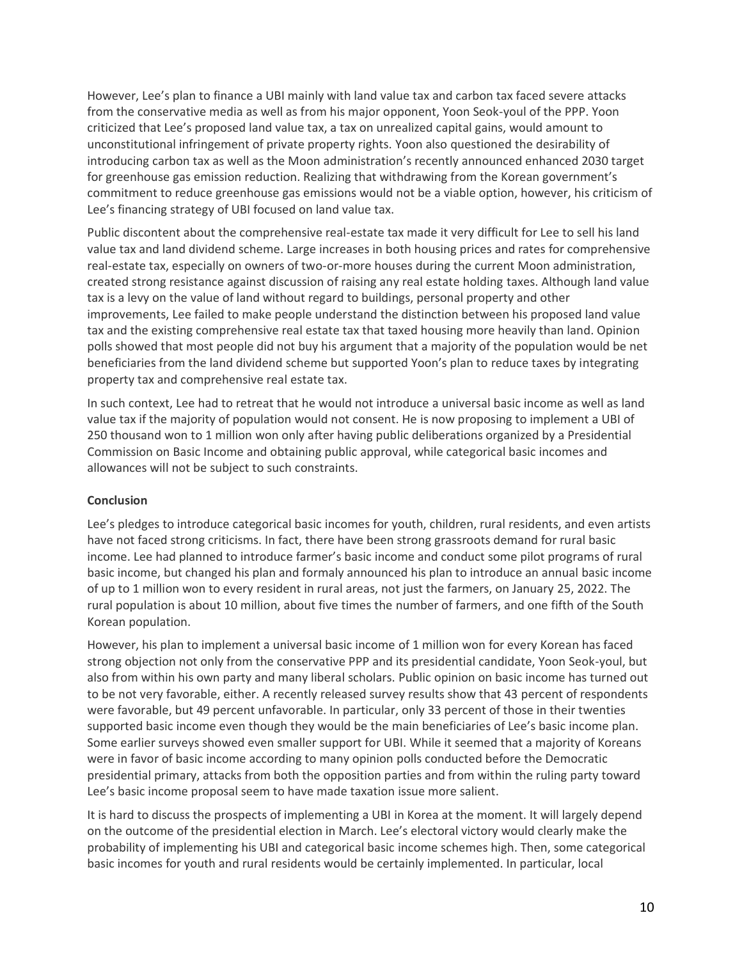However, Lee's plan to finance a UBI mainly with land value tax and carbon tax faced severe attacks from the conservative media as well as from his major opponent, Yoon Seok-youl of the PPP. Yoon criticized that Lee's proposed land value tax, a tax on unrealized capital gains, would amount to unconstitutional infringement of private property rights. Yoon also questioned the desirability of introducing carbon tax as well as the Moon administration's recently announced enhanced 2030 target for greenhouse gas emission reduction. Realizing that withdrawing from the Korean government's commitment to reduce greenhouse gas emissions would not be a viable option, however, his criticism of Lee's financing strategy of UBI focused on land value tax.

Public discontent about the comprehensive real-estate tax made it very difficult for Lee to sell his land value tax and land dividend scheme. Large increases in both housing prices and rates for comprehensive real-estate tax, especially on owners of two-or-more houses during the current Moon administration, created strong resistance against discussion of raising any real estate holding taxes. Although land value tax is a levy on the value of land without regard to buildings, personal property and other improvements, Lee failed to make people understand the distinction between his proposed land value tax and the existing comprehensive real estate tax that taxed housing more heavily than land. Opinion polls showed that most people did not buy his argument that a majority of the population would be net beneficiaries from the land dividend scheme but supported Yoon's plan to reduce taxes by integrating property tax and comprehensive real estate tax.

In such context, Lee had to retreat that he would not introduce a universal basic income as well as land value tax if the majority of population would not consent. He is now proposing to implement a UBI of 250 thousand won to 1 million won only after having public deliberations organized by a Presidential Commission on Basic Income and obtaining public approval, while categorical basic incomes and allowances will not be subject to such constraints.

## **Conclusion**

Lee's pledges to introduce categorical basic incomes for youth, children, rural residents, and even artists have not faced strong criticisms. In fact, there have been strong grassroots demand for rural basic income. Lee had planned to introduce farmer's basic income and conduct some pilot programs of rural basic income, but changed his plan and formaly announced his plan to introduce an annual basic income of up to 1 million won to every resident in rural areas, not just the farmers, on January 25, 2022. The rural population is about 10 million, about five times the number of farmers, and one fifth of the South Korean population.

However, his plan to implement a universal basic income of 1 million won for every Korean has faced strong objection not only from the conservative PPP and its presidential candidate, Yoon Seok-youl, but also from within his own party and many liberal scholars. Public opinion on basic income has turned out to be not very favorable, either. A recently released survey results show that 43 percent of respondents were favorable, but 49 percent unfavorable. In particular, only 33 percent of those in their twenties supported basic income even though they would be the main beneficiaries of Lee's basic income plan. Some earlier surveys showed even smaller support for UBI. While it seemed that a majority of Koreans were in favor of basic income according to many opinion polls conducted before the Democratic presidential primary, attacks from both the opposition parties and from within the ruling party toward Lee's basic income proposal seem to have made taxation issue more salient.

It is hard to discuss the prospects of implementing a UBI in Korea at the moment. It will largely depend on the outcome of the presidential election in March. Lee's electoral victory would clearly make the probability of implementing his UBI and categorical basic income schemes high. Then, some categorical basic incomes for youth and rural residents would be certainly implemented. In particular, local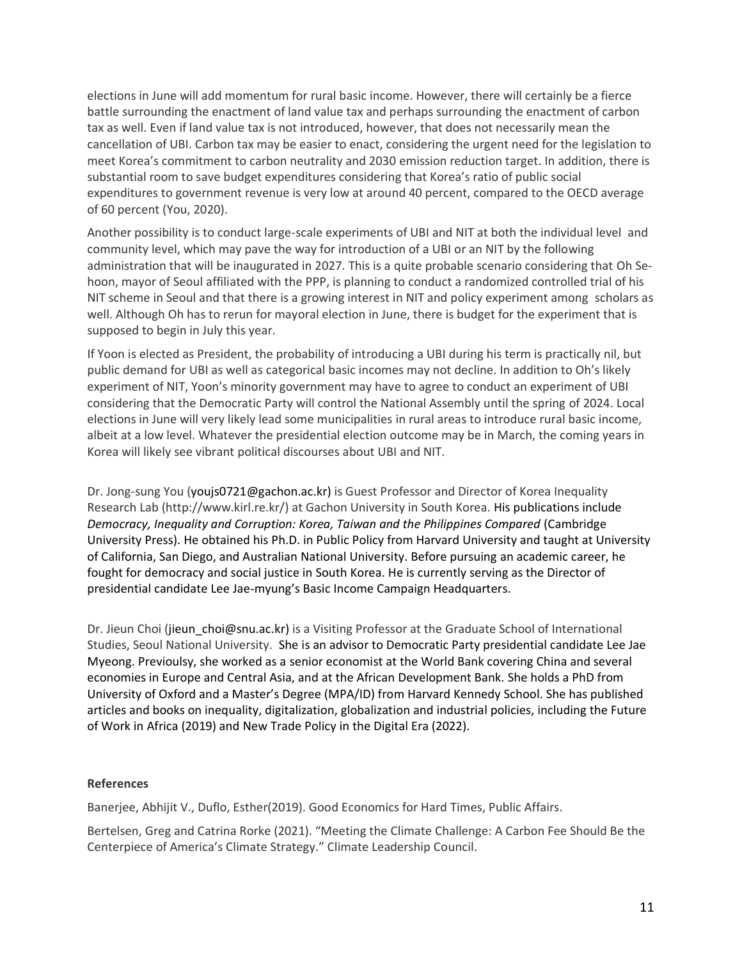elections in June will add momentum for rural basic income. However, there will certainly be a fierce battle surrounding the enactment of land value tax and perhaps surrounding the enactment of carbon tax as well. Even if land value tax is not introduced, however, that does not necessarily mean the cancellation of UBI. Carbon tax may be easier to enact, considering the urgent need for the legislation to meet Korea's commitment to carbon neutrality and 2030 emission reduction target. In addition, there is substantial room to save budget expenditures considering that Korea's ratio of public social expenditures to government revenue is very low at around 40 percent, compared to the OECD average of 60 percent (You, 2020).

Another possibility is to conduct large-scale experiments of UBI and NIT at both the individual level and community level, which may pave the way for introduction of a UBI or an NIT by the following administration that will be inaugurated in 2027. This is a quite probable scenario considering that Oh Sehoon, mayor of Seoul affiliated with the PPP, is planning to conduct a randomized controlled trial of his NIT scheme in Seoul and that there is a growing interest in NIT and policy experiment among scholars as well. Although Oh has to rerun for mayoral election in June, there is budget for the experiment that is supposed to begin in July this year.

If Yoon is elected as President, the probability of introducing a UBI during his term is practically nil, but public demand for UBI as well as categorical basic incomes may not decline. In addition to Oh's likely experiment of NIT, Yoon's minority government may have to agree to conduct an experiment of UBI considering that the Democratic Party will control the National Assembly until the spring of 2024. Local elections in June will very likely lead some municipalities in rural areas to introduce rural basic income, albeit at a low level. Whatever the presidential election outcome may be in March, the coming years in Korea will likely see vibrant political discourses about UBI and NIT.

Dr. Jong-sung You (youjs0721@gachon.ac.kr) is Guest Professor and Director of Korea Inequality Research Lab (http://www.kirl.re.kr/) at Gachon University in South Korea. His publications include *Democracy, Inequality and Corruption: Korea, Taiwan and the Philippines Compared* (Cambridge University Press). He obtained his Ph.D. in Public Policy from Harvard University and taught at University of California, San Diego, and Australian National University. Before pursuing an academic career, he fought for democracy and social justice in South Korea. He is currently serving as the Director of presidential candidate Lee Jae-myung's Basic Income Campaign Headquarters.

Dr. Jieun Choi (jieun choi@snu.ac.kr) is a Visiting Professor at the Graduate School of International Studies, Seoul National University. She is an advisor to Democratic Party presidential candidate Lee Jae Myeong. Previoulsy, she worked as a senior economist at the World Bank covering China and several economies in Europe and Central Asia, and at the African Development Bank. She holds a PhD from University of Oxford and a Master's Degree (MPA/ID) from Harvard Kennedy School. She has published articles and books on inequality, digitalization, globalization and industrial policies, including the Future of Work in Africa (2019) and New Trade Policy in the Digital Era (2022).

#### **References**

Banerjee, Abhijit V., Duflo, Esther(2019). Good Economics for Hard Times, Public Affairs.

Bertelsen, Greg and Catrina Rorke (2021). "Meeting the Climate Challenge: A Carbon Fee Should Be the Centerpiece of America's Climate Strategy." Climate Leadership Council.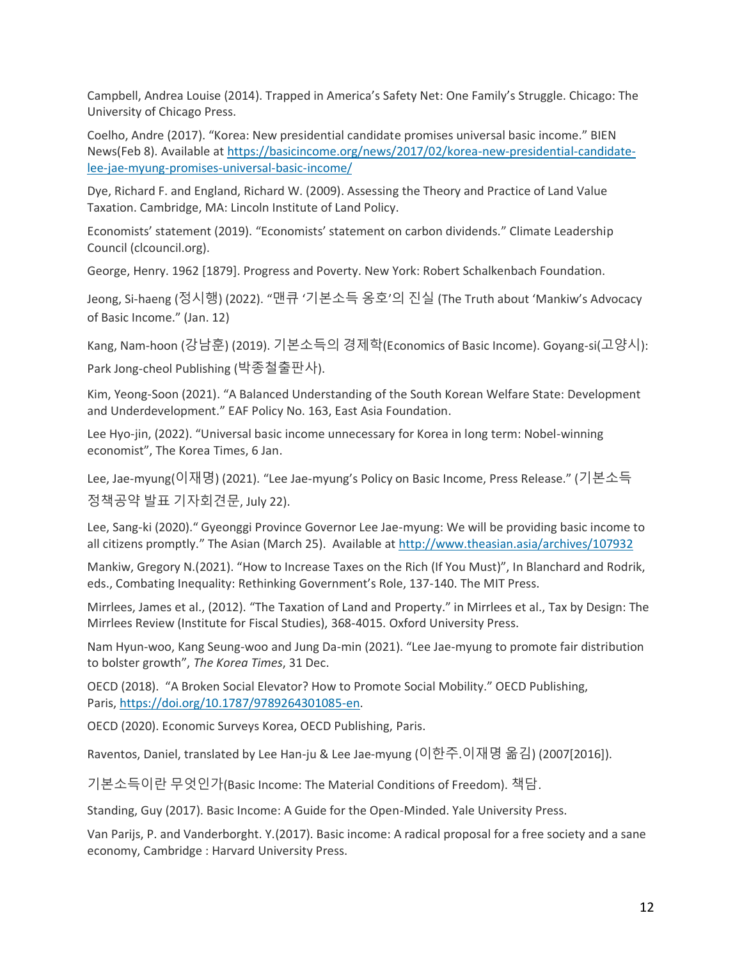Campbell, Andrea Louise (2014). Trapped in America's Safety Net: One Family's Struggle. Chicago: The University of Chicago Press.

Coelho, Andre (2017). "Korea: New presidential candidate promises universal basic income." BIEN News(Feb 8). Available at [https://basicincome.org/news/2017/02/korea-new-presidential-candidate](https://basicincome.org/news/2017/02/korea-new-presidential-candidate-lee-jae-myung-promises-universal-basic-income/)[lee-jae-myung-promises-universal-basic-income/](https://basicincome.org/news/2017/02/korea-new-presidential-candidate-lee-jae-myung-promises-universal-basic-income/)

Dye, Richard F. and England, Richard W. (2009). Assessing the Theory and Practice of Land Value Taxation. Cambridge, MA: Lincoln Institute of Land Policy.

Economists' statement (2019). "Economists' statement on carbon dividends." Climate Leadership Council (clcouncil.org).

George, Henry. 1962 [1879]. Progress and Poverty. New York: Robert Schalkenbach Foundation.

Jeong, Si-haeng (정시행) (2022). "맨큐 '기본소득 옹호'의 진실 (The Truth about 'Mankiw's Advocacy of Basic Income." (Jan. 12)

Kang, Nam-hoon (강남훈) (2019). 기본소득의 경제학(Economics of Basic Income). Goyang-si(고양시): Park Jong-cheol Publishing (박종철출판사).

Kim, Yeong-Soon (2021). "A Balanced Understanding of the South Korean Welfare State: Development and Underdevelopment." EAF Policy No. 163, East Asia Foundation.

Lee Hyo-jin, (2022). "Universal basic income unnecessary for Korea in long term: Nobel-winning economist", The Korea Times, 6 Jan.

Lee, Jae-myung(이재명) (2021). "Lee Jae-myung's Policy on Basic Income, Press Release." (기본소득 정책공약 발표 기자회견문, July 22).

Lee, Sang-ki (2020)." Gyeonggi Province Governor Lee Jae-myung: We will be providing basic income to all citizens promptly." The Asian (March 25). Available at <http://www.theasian.asia/archives/107932>

Mankiw, Gregory N.(2021). "How to Increase Taxes on the Rich (If You Must)", In Blanchard and Rodrik, eds., Combating Inequality: Rethinking Government's Role, 137-140. The MIT Press.

Mirrlees, James et al., (2012). "The Taxation of Land and Property." in Mirrlees et al., Tax by Design: The Mirrlees Review (Institute for Fiscal Studies), 368-4015. Oxford University Press.

Nam Hyun-woo, Kang Seung-woo and Jung Da-min (2021). "Lee Jae-myung to promote fair distribution to bolster growth", *The Korea Times*, 31 Dec.

OECD (2018). "A Broken Social Elevator? How to Promote Social Mobility." OECD Publishing, Paris, [https://doi.org/10.1787/9789264301085-en.](https://doi.org/10.1787/9789264301085-en)

OECD (2020). Economic Surveys Korea, OECD Publishing, Paris.

Raventos, Daniel, translated by Lee Han-ju & Lee Jae-myung (이한주.이재명 옮김) (2007[2016]).

기본소득이란 무엇인가(Basic Income: The Material Conditions of Freedom). 책담.

Standing, Guy (2017). Basic Income: A Guide for the Open-Minded. Yale University Press.

Van Parijs, P. and Vanderborght. Y.(2017). Basic income: A radical proposal for a free society and a sane economy, Cambridge : Harvard University Press.